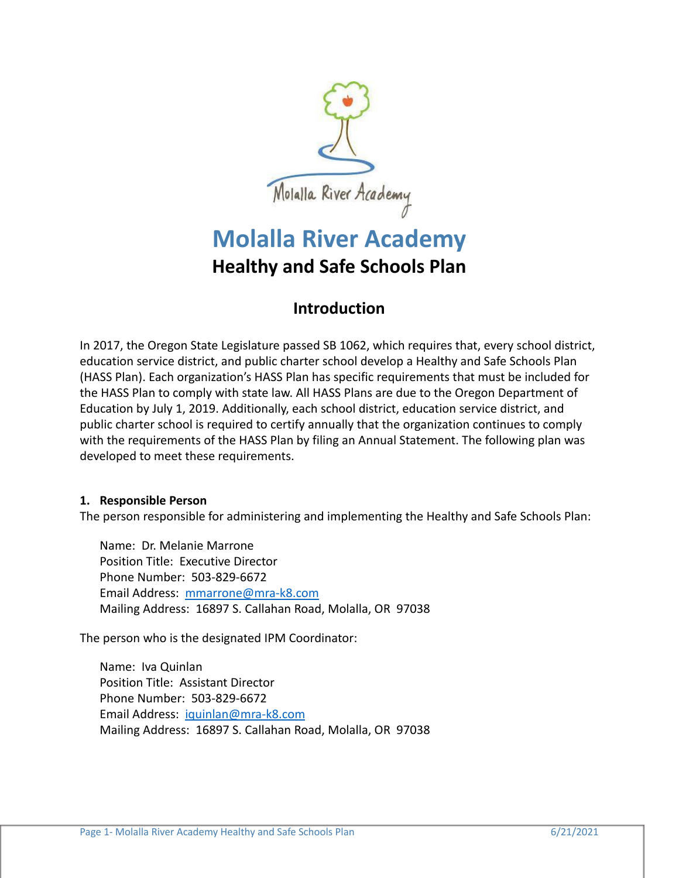

# **Molalla River Academy Healthy and Safe Schools Plan**

# **Introduction**

In 2017, the Oregon State Legislature passed SB 1062, which requires that, every school district, education service district, and public charter school develop a Healthy and Safe Schools Plan (HASS Plan). Each organization's HASS Plan has specific requirements that must be included for the HASS Plan to comply with state law. All HASS Plans are due to the Oregon Department of Education by July 1, 2019. Additionally, each school district, education service district, and public charter school is required to certify annually that the organization continues to comply with the requirements of the HASS Plan by filing an Annual Statement. The following plan was developed to meet these requirements.

# **1. Responsible Person**

The person responsible for administering and implementing the Healthy and Safe Schools Plan:

Name: Dr. Melanie Marrone Position Title: Executive Director Phone Number: 503-829-6672 Email Address: [mmarrone@mra-k8.com](mailto:mmarrone@mra-k8.com) Mailing Address: 16897 S. Callahan Road, Molalla, OR 97038

The person who is the designated IPM Coordinator:

Name: Iva Quinlan Position Title: Assistant Director Phone Number: 503-829-6672 Email Address: [iquinlan@mra-k8.com](mailto:iquinlan@mra-k8.com) Mailing Address: 16897 S. Callahan Road, Molalla, OR 97038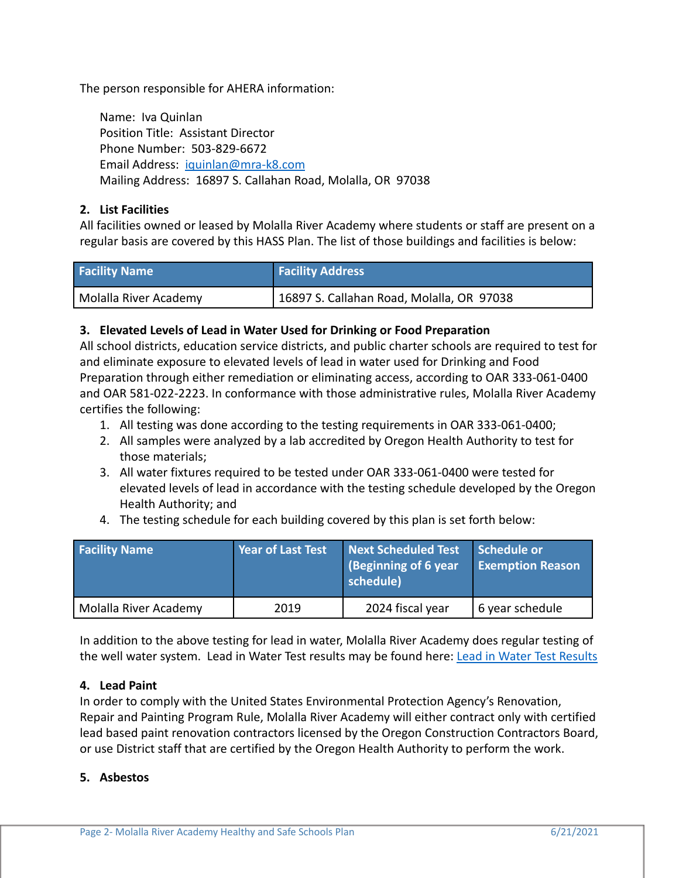The person responsible for AHERA information:

Name: Iva Quinlan Position Title: Assistant Director Phone Number: 503-829-6672 Email Address: [iquinlan@mra-k8.com](mailto:iquinlan@mra-k8.com) Mailing Address: 16897 S. Callahan Road, Molalla, OR 97038

## **2. List Facilities**

All facilities owned or leased by Molalla River Academy where students or staff are present on a regular basis are covered by this HASS Plan. The list of those buildings and facilities is below:

| <b>Facility Name</b>  | <b>Facility Address</b>                   |
|-----------------------|-------------------------------------------|
| Molalla River Academy | 16897 S. Callahan Road, Molalla, OR 97038 |

## **3. Elevated Levels of Lead in Water Used for Drinking or Food Preparation**

All school districts, education service districts, and public charter schools are required to test for and eliminate exposure to elevated levels of lead in water used for Drinking and Food Preparation through either remediation or eliminating access, according to OAR 333-061-0400 and OAR 581-022-2223. In conformance with those administrative rules, Molalla River Academy certifies the following:

- 1. All testing was done according to the testing requirements in OAR 333-061-0400;
- 2. All samples were analyzed by a lab accredited by Oregon Health Authority to test for those materials;
- 3. All water fixtures required to be tested under OAR 333-061-0400 were tested for elevated levels of lead in accordance with the testing schedule developed by the Oregon Health Authority; and
- 4. The testing schedule for each building covered by this plan is set forth below:

| <b>Facility Name</b>  | <b>Year of Last Test</b> | Next Scheduled Test<br>(Beginning of 6 year<br>schedule) | Schedule or<br><b>Exemption Reason</b> |
|-----------------------|--------------------------|----------------------------------------------------------|----------------------------------------|
| Molalla River Academy | 2019                     | 2024 fiscal year                                         | 6 year schedule                        |

In addition to the above testing for lead in water, Molalla River Academy does regular testing of the well water system. Lead in Water Test results may be found here: [Lead in Water Test Results](https://2ca4a30e-3c61-4670-b152-3b40a3dccd0c.filesusr.com/ugd/9c998d_70c245cf42914d36ad2db8af398595c4.docx?dn=Molalla%20River%20Academy%20Lead%20in%20Water%20Test)

#### **4. Lead Paint**

In order to comply with the United States Environmental Protection Agency's Renovation, Repair and Painting Program Rule, Molalla River Academy will either contract only with certified lead based paint renovation contractors licensed by the Oregon Construction Contractors Board, or use District staff that are certified by the Oregon Health Authority to perform the work.

#### **5. Asbestos**